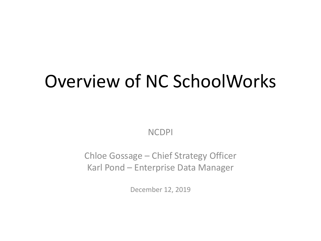# Overview of NC SchoolWorks

NCDPI

Chloe Gossage – Chief Strategy Officer Karl Pond – Enterprise Data Manager

December 12, 2019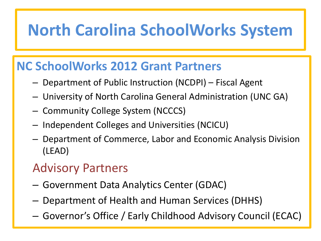### **North Carolina SchoolWorks System**

#### **NC SchoolWorks 2012 Grant Partners**

- Department of Public Instruction (NCDPI) Fiscal Agent
- University of North Carolina General Administration (UNC GA)
- Community College System (NCCCS)
- Independent Colleges and Universities (NCICU)
- Department of Commerce, Labor and Economic Analysis Division (LEAD)

### Advisory Partners

- Government Data Analytics Center (GDAC)
- Department of Health and Human Services (DHHS)
- Governor's Office / Early Childhood Advisory Council (ECAC)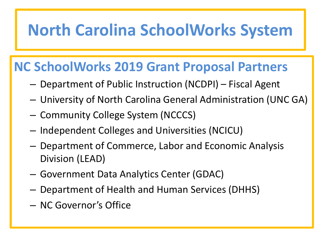### **North Carolina SchoolWorks System**

#### **NC SchoolWorks 2019 Grant Proposal Partners**

- Department of Public Instruction (NCDPI) Fiscal Agent
- University of North Carolina General Administration (UNC GA)
- Community College System (NCCCS)
- Independent Colleges and Universities (NCICU)
- Department of Commerce, Labor and Economic Analysis Division (LEAD)
- Government Data Analytics Center (GDAC)
- Department of Health and Human Services (DHHS)
- NC Governor's Office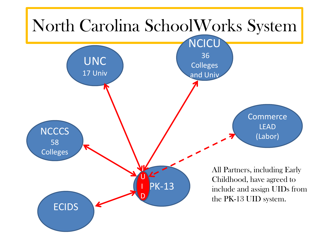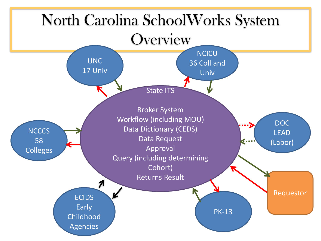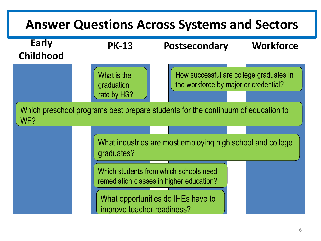### **Answer Questions Across Systems and Sectors**